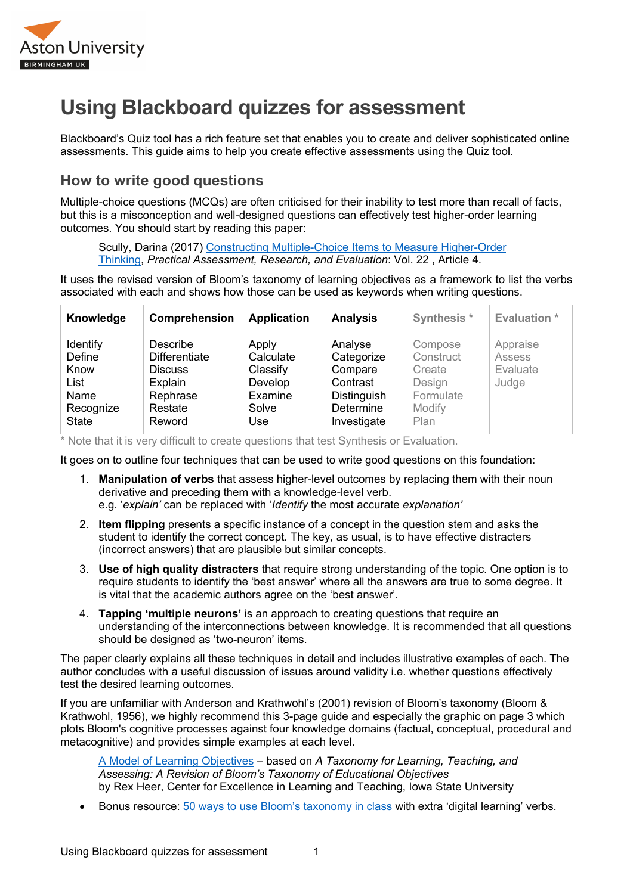

## **Using Blackboard quizzes for assessment**

Blackboard's Quiz tool has a rich feature set that enables you to create and deliver sophisticated online assessments. This guide aims to help you create effective assessments using the Quiz tool.

## **How to write good questions**

Multiple-choice questions (MCQs) are often criticised for their inability to test more than recall of facts, but this is a misconception and well-designed questions can effectively test higher-order learning outcomes. You should start by reading this paper:

Scully, Darina (2017) Constructing Multiple-Choice Items to Measure Higher-Order Thinking, *Practical Assessment, Research, and Evaluation*: Vol. 22 , Article 4.

It uses the revised version of Bloom's taxonomy of learning objectives as a framework to list the verbs associated with each and shows how those can be used as keywords when writing questions.

| Knowledge                                                               | Comprehension                                                                                  | <b>Application</b>                                                   | <b>Analysis</b>                                                                                | Synthesis *                                                             | <b>Evaluation</b> *                     |
|-------------------------------------------------------------------------|------------------------------------------------------------------------------------------------|----------------------------------------------------------------------|------------------------------------------------------------------------------------------------|-------------------------------------------------------------------------|-----------------------------------------|
| Identify<br>Define<br>Know<br>List<br>Name<br>Recognize<br><b>State</b> | Describe<br><b>Differentiate</b><br><b>Discuss</b><br>Explain<br>Rephrase<br>Restate<br>Reword | Apply<br>Calculate<br>Classify<br>Develop<br>Examine<br>Solve<br>Use | Analyse<br>Categorize<br>Compare<br>Contrast<br><b>Distinguish</b><br>Determine<br>Investigate | Compose<br>Construct<br>Create<br>Design<br>Formulate<br>Modify<br>Plan | Appraise<br>Assess<br>Evaluate<br>Judge |

\* Note that it is very difficult to create questions that test Synthesis or Evaluation.

It goes on to outline four techniques that can be used to write good questions on this foundation:

- 1. **Manipulation of verbs** that assess higher-level outcomes by replacing them with their noun derivative and preceding them with a knowledge-level verb. e.g. '*explain'* can be replaced with '*Identify* the most accurate *explanation'*
- 2. **Item flipping** presents a specific instance of a concept in the question stem and asks the student to identify the correct concept. The key, as usual, is to have effective distracters (incorrect answers) that are plausible but similar concepts.
- 3. **Use of high quality distracters** that require strong understanding of the topic. One option is to require students to identify the 'best answer' where all the answers are true to some degree. It is vital that the academic authors agree on the 'best answer'.
- 4. **Tapping 'multiple neurons'** is an approach to creating questions that require an understanding of the interconnections between knowledge. It is recommended that all questions should be designed as 'two-neuron' items.

The paper clearly explains all these techniques in detail and includes illustrative examples of each. The author concludes with a useful discussion of issues around validity i.e. whether questions effectively test the desired learning outcomes.

If you are unfamiliar with Anderson and Krathwohl's (2001) revision of Bloom's taxonomy (Bloom & Krathwohl, 1956), we highly recommend this 3-page guide and especially the graphic on page 3 which plots Bloom's cognitive processes against four knowledge domains (factual, conceptual, procedural and metacognitive) and provides simple examples at each level.

A Model of Learning Objectives – based on *A Taxonomy for Learning, Teaching, and Assessing: A Revision of Bloom's Taxonomy of Educational Objectives* by Rex Heer, Center for Excellence in Learning and Teaching, Iowa State University

• Bonus resource: 50 ways to use Bloom's taxonomy in class with extra 'digital learning' verbs.